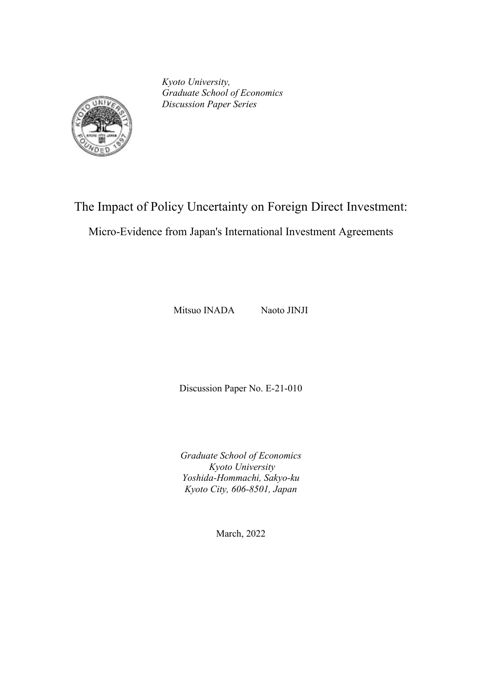*Kyoto University, Graduate School of Economics Discussion Paper Series*

## The Impact of Policy Uncertainty on Foreign Direct Investment:

Micro-Evidence from Japan's International Investment Agreements

Mitsuo INADA Naoto JINJI

Discussion Paper No. E-21-010

*Graduate School of Economics Kyoto University Yoshida-Hommachi, Sakyo-ku Kyoto City, 606-8501, Japan*

March, 2022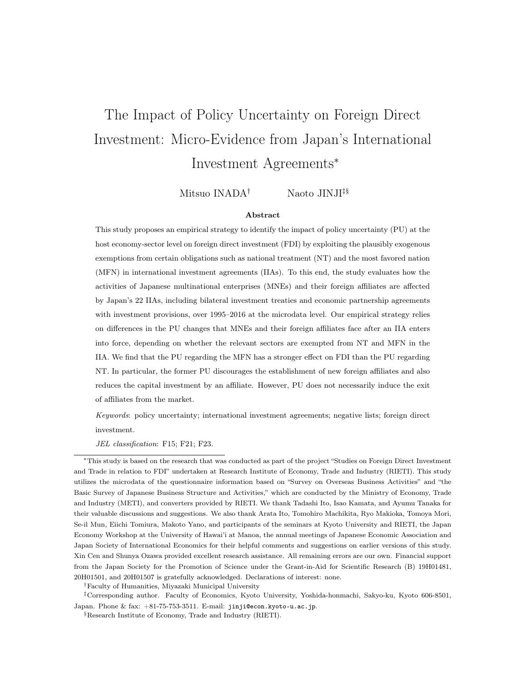# The Impact of Policy Uncertainty on Foreign Direct Investment: Micro-Evidence from Japan's International Investment Agreements*<sup>∗</sup>*

Mitsuo INADA*†* Naoto JINJI*‡*§

#### Abstract

This study proposes an empirical strategy to identify the impact of policy uncertainty (PU) at the host economy-sector level on foreign direct investment (FDI) by exploiting the plausibly exogenous exemptions from certain obligations such as national treatment (NT) and the most favored nation (MFN) in international investment agreements (IIAs). To this end, the study evaluates how the activities of Japanese multinational enterprises (MNEs) and their foreign affiliates are affected by Japan's 22 IIAs, including bilateral investment treaties and economic partnership agreements with investment provisions, over 1995–2016 at the microdata level. Our empirical strategy relies on differences in the PU changes that MNEs and their foreign affiliates face after an IIA enters into force, depending on whether the relevant sectors are exempted from NT and MFN in the IIA. We find that the PU regarding the MFN has a stronger effect on FDI than the PU regarding NT. In particular, the former PU discourages the establishment of new foreign affiliates and also reduces the capital investment by an affiliate. However, PU does not necessarily induce the exit of affiliates from the market.

*Keywords*: policy uncertainty; international investment agreements; negative lists; foreign direct investment.

*JEL classification*: F15; F21; F23.

*†*Faculty of Humanities, Miyazaki Municipal University

*‡*Corresponding author. Faculty of Economics, Kyoto University, Yoshida-honmachi, Sakyo-ku, Kyoto 606-8501, Japan. Phone & fax:  $+81-75-753-3511$ . E-mail: jinji@econ.kyoto-u.ac.jp.

*<sup>∗</sup>*This study is based on the research that was conducted as part of the project "Studies on Foreign Direct Investment and Trade in relation to FDI" undertaken at Research Institute of Economy, Trade and Industry (RIETI). This study utilizes the microdata of the questionnaire information based on "Survey on Overseas Business Activities" and "the Basic Survey of Japanese Business Structure and Activities," which are conducted by the Ministry of Economy, Trade and Industry (METI), and converters provided by RIETI. We thank Tadashi Ito, Isao Kamata, and Ayumu Tanaka for their valuable discussions and suggestions. We also thank Arata Ito, Tomohiro Machikita, Ryo Makioka, Tomoya Mori, Se-il Mun, Eiichi Tomiura, Makoto Yano, and participants of the seminars at Kyoto University and RIETI, the Japan Economy Workshop at the University of Hawai'i at Manoa, the annual meetings of Japanese Economic Association and Japan Society of International Economics for their helpful comments and suggestions on earlier versions of this study. Xin Cen and Shunya Ozawa provided excellent research assistance. All remaining errors are our own. Financial support from the Japan Society for the Promotion of Science under the Grant-in-Aid for Scientific Research (B) 19H01481, 20H01501, and 20H01507 is gratefully acknowledged. Declarations of interest: none.

<sup>§</sup>Research Institute of Economy, Trade and Industry (RIETI).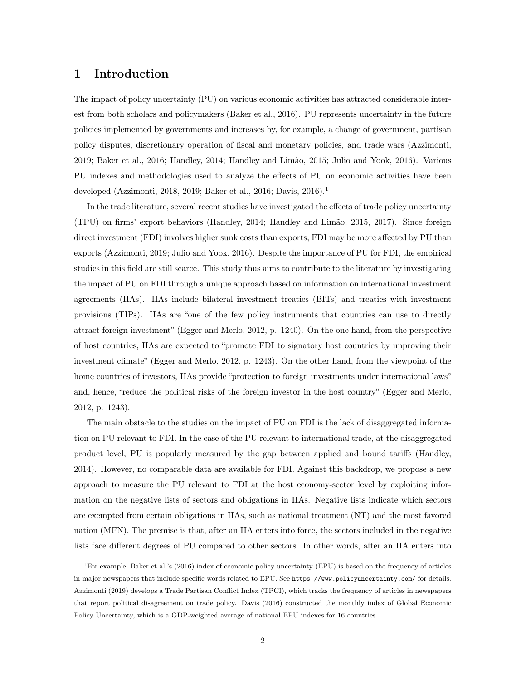## 1 Introduction

The impact of policy uncertainty (PU) on various economic activities has attracted considerable interest from both scholars and policymakers (Baker et al., 2016). PU represents uncertainty in the future policies implemented by governments and increases by, for example, a change of government, partisan policy disputes, discretionary operation of fiscal and monetary policies, and trade wars (Azzimonti, 2019; Baker et al., 2016; Handley, 2014; Handley and Limão, 2015; Julio and Yook, 2016). Various PU indexes and methodologies used to analyze the effects of PU on economic activities have been developed (Azzimonti, 2018, 2019; Baker et al., 2016; Davis, 2016).<sup>1</sup>

In the trade literature, several recent studies have investigated the effects of trade policy uncertainty (TPU) on firms' export behaviors (Handley, 2014; Handley and Limão, 2015, 2017). Since foreign direct investment (FDI) involves higher sunk costs than exports, FDI may be more affected by PU than exports (Azzimonti, 2019; Julio and Yook, 2016). Despite the importance of PU for FDI, the empirical studies in this field are still scarce. This study thus aims to contribute to the literature by investigating the impact of PU on FDI through a unique approach based on information on international investment agreements (IIAs). IIAs include bilateral investment treaties (BITs) and treaties with investment provisions (TIPs). IIAs are "one of the few policy instruments that countries can use to directly attract foreign investment" (Egger and Merlo, 2012, p. 1240). On the one hand, from the perspective of host countries, IIAs are expected to "promote FDI to signatory host countries by improving their investment climate" (Egger and Merlo, 2012, p. 1243). On the other hand, from the viewpoint of the home countries of investors, IIAs provide "protection to foreign investments under international laws" and, hence, "reduce the political risks of the foreign investor in the host country" (Egger and Merlo, 2012, p. 1243).

The main obstacle to the studies on the impact of PU on FDI is the lack of disaggregated information on PU relevant to FDI. In the case of the PU relevant to international trade, at the disaggregated product level, PU is popularly measured by the gap between applied and bound tariffs (Handley, 2014). However, no comparable data are available for FDI. Against this backdrop, we propose a new approach to measure the PU relevant to FDI at the host economy-sector level by exploiting information on the negative lists of sectors and obligations in IIAs. Negative lists indicate which sectors are exempted from certain obligations in IIAs, such as national treatment (NT) and the most favored nation (MFN). The premise is that, after an IIA enters into force, the sectors included in the negative lists face different degrees of PU compared to other sectors. In other words, after an IIA enters into

<sup>1</sup>For example, Baker et al.'s (2016) index of economic policy uncertainty (EPU) is based on the frequency of articles in major newspapers that include specific words related to EPU. See https://www.policyuncertainty.com/ for details. Azzimonti (2019) develops a Trade Partisan Conflict Index (TPCI), which tracks the frequency of articles in newspapers that report political disagreement on trade policy. Davis (2016) constructed the monthly index of Global Economic Policy Uncertainty, which is a GDP-weighted average of national EPU indexes for 16 countries.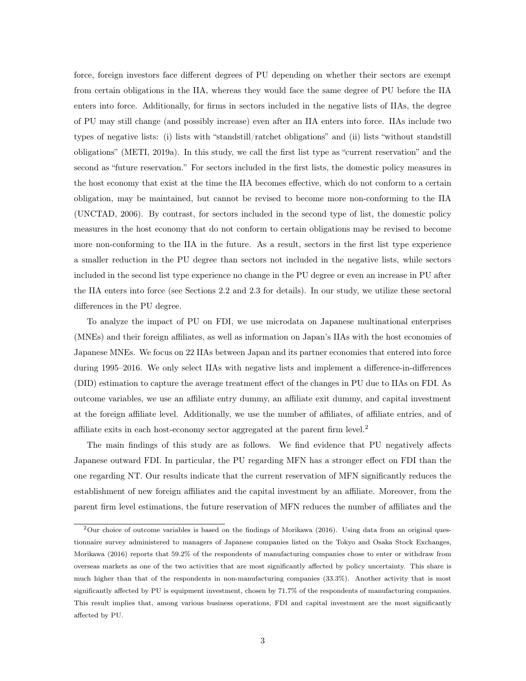force, foreign investors face different degrees of PU depending on whether their sectors are exempt from certain obligations in the IIA, whereas they would face the same degree of PU before the IIA enters into force. Additionally, for firms in sectors included in the negative lists of IIAs, the degree of PU may still change (and possibly increase) even after an IIA enters into force. IIAs include two types of negative lists: (i) lists with "standstill/ratchet obligations" and (ii) lists "without standstill obligations" (METI, 2019a). In this study, we call the first list type as "current reservation" and the second as "future reservation." For sectors included in the first lists, the domestic policy measures in the host economy that exist at the time the IIA becomes effective, which do not conform to a certain obligation, may be maintained, but cannot be revised to become more non-conforming to the IIA (UNCTAD, 2006). By contrast, for sectors included in the second type of list, the domestic policy measures in the host economy that do not conform to certain obligations may be revised to become more non-conforming to the IIA in the future. As a result, sectors in the first list type experience a smaller reduction in the PU degree than sectors not included in the negative lists, while sectors included in the second list type experience no change in the PU degree or even an increase in PU after the IIA enters into force (see Sections 2.2 and 2.3 for details). In our study, we utilize these sectoral differences in the PU degree.

To analyze the impact of PU on FDI, we use microdata on Japanese multinational enterprises (MNEs) and their foreign affiliates, as well as information on Japan's IIAs with the host economies of Japanese MNEs. We focus on 22 IIAs between Japan and its partner economies that entered into force during 1995–2016. We only select IIAs with negative lists and implement a difference-in-differences (DID) estimation to capture the average treatment effect of the changes in PU due to IIAs on FDI. As outcome variables, we use an affiliate entry dummy, an affiliate exit dummy, and capital investment at the foreign affiliate level. Additionally, we use the number of affiliates, of affiliate entries, and of affiliate exits in each host-economy sector aggregated at the parent firm level.<sup>2</sup>

The main findings of this study are as follows. We find evidence that PU negatively affects Japanese outward FDI. In particular, the PU regarding MFN has a stronger effect on FDI than the one regarding NT. Our results indicate that the current reservation of MFN significantly reduces the establishment of new foreign affiliates and the capital investment by an affiliate. Moreover, from the parent firm level estimations, the future reservation of MFN reduces the number of affiliates and the

<sup>2</sup>Our choice of outcome variables is based on the findings of Morikawa (2016). Using data from an original questionnaire survey administered to managers of Japanese companies listed on the Tokyo and Osaka Stock Exchanges, Morikawa (2016) reports that 59.2% of the respondents of manufacturing companies chose to enter or withdraw from overseas markets as one of the two activities that are most significantly affected by policy uncertainty. This share is much higher than that of the respondents in non-manufacturing companies (33.3%). Another activity that is most significantly affected by PU is equipment investment, chosen by 71.7% of the respondents of manufacturing companies. This result implies that, among various business operations, FDI and capital investment are the most significantly affected by PU.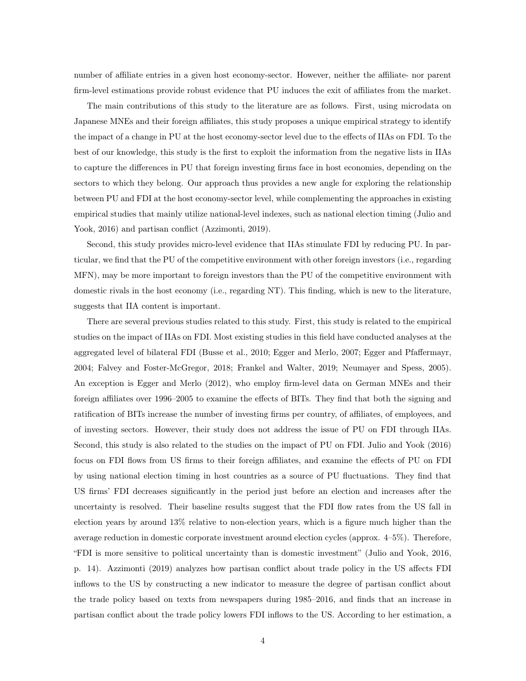number of affiliate entries in a given host economy-sector. However, neither the affiliate- nor parent firm-level estimations provide robust evidence that PU induces the exit of affiliates from the market.

The main contributions of this study to the literature are as follows. First, using microdata on Japanese MNEs and their foreign affiliates, this study proposes a unique empirical strategy to identify the impact of a change in PU at the host economy-sector level due to the effects of IIAs on FDI. To the best of our knowledge, this study is the first to exploit the information from the negative lists in IIAs to capture the differences in PU that foreign investing firms face in host economies, depending on the sectors to which they belong. Our approach thus provides a new angle for exploring the relationship between PU and FDI at the host economy-sector level, while complementing the approaches in existing empirical studies that mainly utilize national-level indexes, such as national election timing (Julio and Yook, 2016) and partisan conflict (Azzimonti, 2019).

Second, this study provides micro-level evidence that IIAs stimulate FDI by reducing PU. In particular, we find that the PU of the competitive environment with other foreign investors (i.e., regarding MFN), may be more important to foreign investors than the PU of the competitive environment with domestic rivals in the host economy (i.e., regarding NT). This finding, which is new to the literature, suggests that IIA content is important.

There are several previous studies related to this study. First, this study is related to the empirical studies on the impact of IIAs on FDI. Most existing studies in this field have conducted analyses at the aggregated level of bilateral FDI (Busse et al., 2010; Egger and Merlo, 2007; Egger and Pfaffermayr, 2004; Falvey and Foster-McGregor, 2018; Frankel and Walter, 2019; Neumayer and Spess, 2005). An exception is Egger and Merlo (2012), who employ firm-level data on German MNEs and their foreign affiliates over 1996–2005 to examine the effects of BITs. They find that both the signing and ratification of BITs increase the number of investing firms per country, of affiliates, of employees, and of investing sectors. However, their study does not address the issue of PU on FDI through IIAs. Second, this study is also related to the studies on the impact of PU on FDI. Julio and Yook (2016) focus on FDI flows from US firms to their foreign affiliates, and examine the effects of PU on FDI by using national election timing in host countries as a source of PU fluctuations. They find that US firms' FDI decreases significantly in the period just before an election and increases after the uncertainty is resolved. Their baseline results suggest that the FDI flow rates from the US fall in election years by around 13% relative to non-election years, which is a figure much higher than the average reduction in domestic corporate investment around election cycles (approx. 4–5%). Therefore, "FDI is more sensitive to political uncertainty than is domestic investment" (Julio and Yook, 2016, p. 14). Azzimonti (2019) analyzes how partisan conflict about trade policy in the US affects FDI inflows to the US by constructing a new indicator to measure the degree of partisan conflict about the trade policy based on texts from newspapers during 1985–2016, and finds that an increase in partisan conflict about the trade policy lowers FDI inflows to the US. According to her estimation, a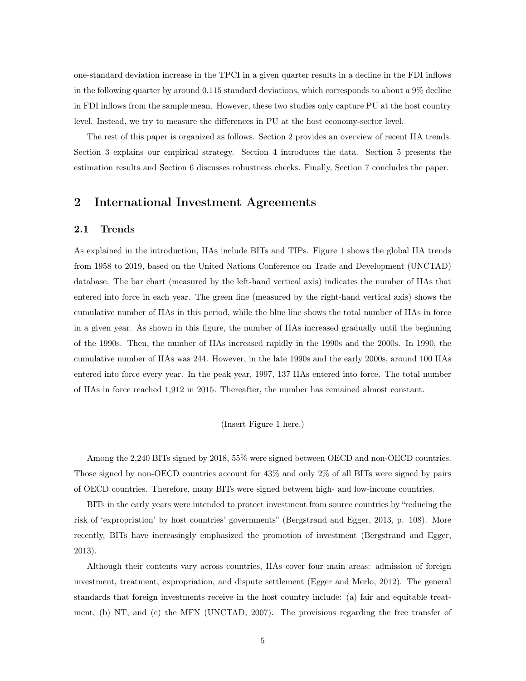one-standard deviation increase in the TPCI in a given quarter results in a decline in the FDI inflows in the following quarter by around 0.115 standard deviations, which corresponds to about a 9% decline in FDI inflows from the sample mean. However, these two studies only capture PU at the host country level. Instead, we try to measure the differences in PU at the host economy-sector level.

The rest of this paper is organized as follows. Section 2 provides an overview of recent IIA trends. Section 3 explains our empirical strategy. Section 4 introduces the data. Section 5 presents the estimation results and Section 6 discusses robustness checks. Finally, Section 7 concludes the paper.

## 2 International Investment Agreements

## 2.1 Trends

As explained in the introduction, IIAs include BITs and TIPs. Figure 1 shows the global IIA trends from 1958 to 2019, based on the United Nations Conference on Trade and Development (UNCTAD) database. The bar chart (measured by the left-hand vertical axis) indicates the number of IIAs that entered into force in each year. The green line (measured by the right-hand vertical axis) shows the cumulative number of IIAs in this period, while the blue line shows the total number of IIAs in force in a given year. As shown in this figure, the number of IIAs increased gradually until the beginning of the 1990s. Then, the number of IIAs increased rapidly in the 1990s and the 2000s. In 1990, the cumulative number of IIAs was 244. However, in the late 1990s and the early 2000s, around 100 IIAs entered into force every year. In the peak year, 1997, 137 IIAs entered into force. The total number of IIAs in force reached 1,912 in 2015. Thereafter, the number has remained almost constant.

#### (Insert Figure 1 here.)

Among the 2,240 BITs signed by 2018, 55% were signed between OECD and non-OECD countries. Those signed by non-OECD countries account for 43% and only 2% of all BITs were signed by pairs of OECD countries. Therefore, many BITs were signed between high- and low-income countries.

BITs in the early years were intended to protect investment from source countries by "reducing the risk of 'expropriation' by host countries' governments" (Bergstrand and Egger, 2013, p. 108). More recently, BITs have increasingly emphasized the promotion of investment (Bergstrand and Egger, 2013).

Although their contents vary across countries, IIAs cover four main areas: admission of foreign investment, treatment, expropriation, and dispute settlement (Egger and Merlo, 2012). The general standards that foreign investments receive in the host country include: (a) fair and equitable treatment, (b) NT, and (c) the MFN (UNCTAD, 2007). The provisions regarding the free transfer of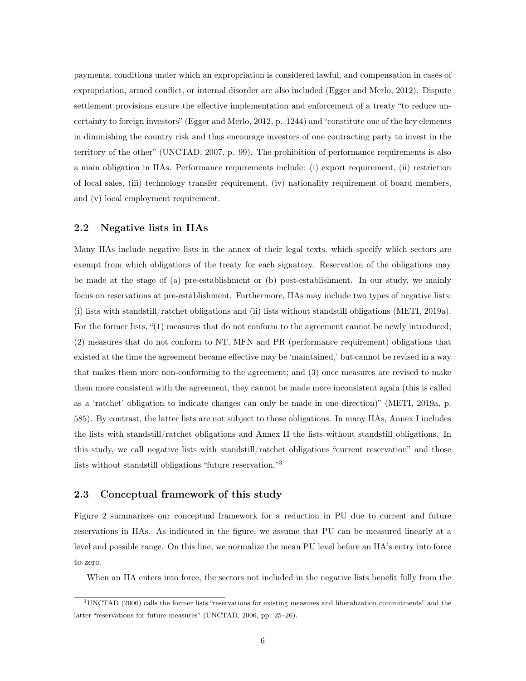payments, conditions under which an expropriation is considered lawful, and compensation in cases of expropriation, armed conflict, or internal disorder are also included (Egger and Merlo, 2012). Dispute settlement provisions ensure the effective implementation and enforcement of a treaty "to reduce uncertainty to foreign investors" (Egger and Merlo, 2012, p. 1244) and "constitute one of the key elements in diminishing the country risk and thus encourage investors of one contracting party to invest in the territory of the other" (UNCTAD, 2007, p. 99). The prohibition of performance requirements is also a main obligation in IIAs. Performance requirements include: (i) export requirement, (ii) restriction of local sales, (iii) technology transfer requirement, (iv) nationality requirement of board members, and (v) local employment requirement.

## 2.2 Negative lists in IIAs

Many IIAs include negative lists in the annex of their legal texts, which specify which sectors are exempt from which obligations of the treaty for each signatory. Reservation of the obligations may be made at the stage of (a) pre-establishment or (b) post-establishment. In our study, we mainly focus on reservations at pre-establishment. Furthermore, IIAs may include two types of negative lists: (i) lists with standstill/ratchet obligations and (ii) lists without standstill obligations (METI, 2019a). For the former lists, "(1) measures that do not conform to the agreement cannot be newly introduced; (2) measures that do not conform to NT, MFN and PR (performance requirement) obligations that existed at the time the agreement became effective may be 'maintained,' but cannot be revised in a way that makes them more non-conforming to the agreement; and (3) once measures are revised to make them more consistent with the agreement, they cannot be made more inconsistent again (this is called as a 'ratchet' obligation to indicate changes can only be made in one direction)" (METI, 2019a, p. 585). By contrast, the latter lists are not subject to those obligations. In many IIAs, Annex I includes the lists with standstill/ratchet obligations and Annex II the lists without standstill obligations. In this study, we call negative lists with standstill/ratchet obligations "current reservation" and those lists without standstill obligations "future reservation."<sup>3</sup>

## 2.3 Conceptual framework of this study

Figure 2 summarizes our conceptual framework for a reduction in PU due to current and future reservations in IIAs. As indicated in the figure, we assume that PU can be measured linearly at a level and possible range. On this line, we normalize the mean PU level before an IIA's entry into force to zero.

When an IIA enters into force, the sectors not included in the negative lists benefit fully from the

<sup>3</sup>UNCTAD (2006) calls the former lists "reservations for existing measures and liberalization commitments" and the latter "reservations for future measures" (UNCTAD, 2006, pp. 25–26).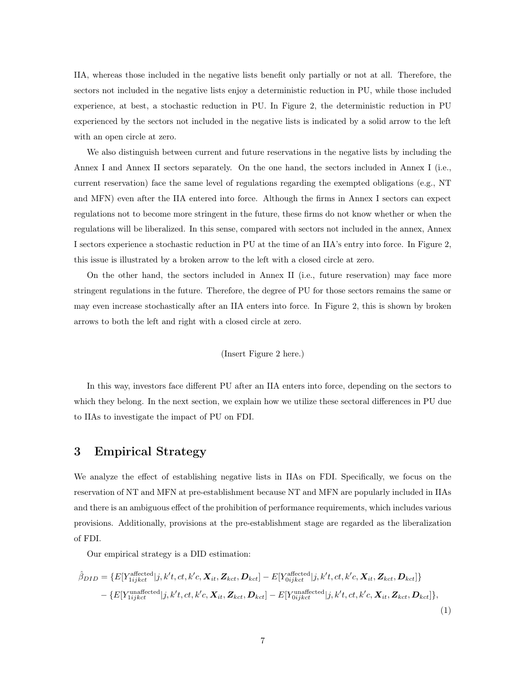IIA, whereas those included in the negative lists benefit only partially or not at all. Therefore, the sectors not included in the negative lists enjoy a deterministic reduction in PU, while those included experience, at best, a stochastic reduction in PU. In Figure 2, the deterministic reduction in PU experienced by the sectors not included in the negative lists is indicated by a solid arrow to the left with an open circle at zero.

We also distinguish between current and future reservations in the negative lists by including the Annex I and Annex II sectors separately. On the one hand, the sectors included in Annex I (i.e., current reservation) face the same level of regulations regarding the exempted obligations (e.g., NT and MFN) even after the IIA entered into force. Although the firms in Annex I sectors can expect regulations not to become more stringent in the future, these firms do not know whether or when the regulations will be liberalized. In this sense, compared with sectors not included in the annex, Annex I sectors experience a stochastic reduction in PU at the time of an IIA's entry into force. In Figure 2, this issue is illustrated by a broken arrow to the left with a closed circle at zero.

On the other hand, the sectors included in Annex II (i.e., future reservation) may face more stringent regulations in the future. Therefore, the degree of PU for those sectors remains the same or may even increase stochastically after an IIA enters into force. In Figure 2, this is shown by broken arrows to both the left and right with a closed circle at zero.

(Insert Figure 2 here.)

In this way, investors face different PU after an IIA enters into force, depending on the sectors to which they belong. In the next section, we explain how we utilize these sectoral differences in PU due to IIAs to investigate the impact of PU on FDI.

## 3 Empirical Strategy

We analyze the effect of establishing negative lists in IIAs on FDI. Specifically, we focus on the reservation of NT and MFN at pre-establishment because NT and MFN are popularly included in IIAs and there is an ambiguous effect of the prohibition of performance requirements, which includes various provisions. Additionally, provisions at the pre-establishment stage are regarded as the liberalization of FDI.

Our empirical strategy is a DID estimation:

$$
\hat{\beta}_{DID} = \{E[Y_{1ijkct}^{\text{affected}}|j, k't, ct, k'c, \mathbf{X}_{it}, \mathbf{Z}_{kct}, \mathbf{D}_{kct}] - E[Y_{0ijkct}^{\text{affected}}|j, k't, ct, k'c, \mathbf{X}_{it}, \mathbf{Z}_{kct}, \mathbf{D}_{kct}]\} \\
- \{E[Y_{1ijkct}^{\text{unaffected}}|j, k't, ct, k'c, \mathbf{X}_{it}, \mathbf{Z}_{kct}, \mathbf{D}_{kct}] - E[Y_{0ijkct}^{\text{unaffected}}|j, k't, ct, k'c, \mathbf{X}_{it}, \mathbf{Z}_{kct}, \mathbf{D}_{kct}]\},\tag{1}
$$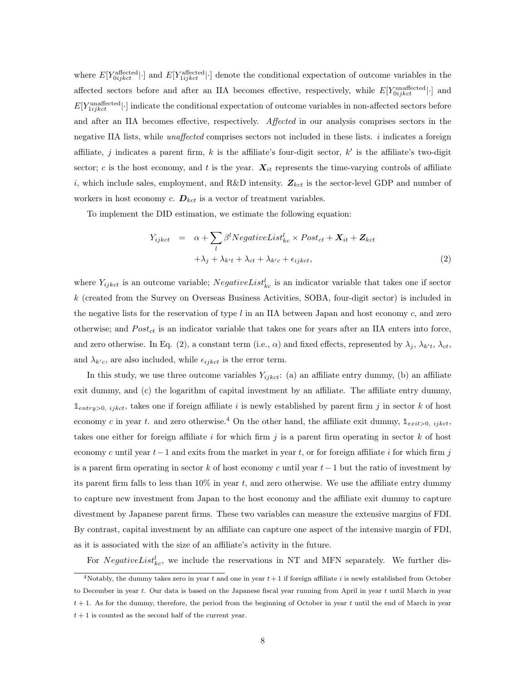where  $E[Y_{0ijkct}^{\text{affected}}|\cdot]$  and  $E[Y_{1ijkct}^{\text{affected}}|\cdot]$  denote the conditional expectation of outcome variables in the affected sectors before and after an IIA becomes effective, respectively, while  $E[Y^{\text{unaffected}}_{0ijkct}]$  and  $E[Y^{\text{unaffected}}_{1ijkct}]$  indicate the conditional expectation of outcome variables in non-affected sectors before and after an IIA becomes effective, respectively. *Affected* in our analysis comprises sectors in the negative IIA lists, while *unaffected* comprises sectors not included in these lists. *i* indicates a foreign affiliate, *j* indicates a parent firm, *k* is the affiliate's four-digit sector, *k ′* is the affiliate's two-digit sector;  $c$  is the host economy, and  $t$  is the year.  $\mathbf{X}_{it}$  represents the time-varying controls of affiliate *i*, which include sales, employment, and R&D intensity.  $Z_{kct}$  is the sector-level GDP and number of workers in host economy  $c$ .  $D_{kct}$  is a vector of treatment variables.

To implement the DID estimation, we estimate the following equation:

$$
Y_{ijkct} = \alpha + \sum_{l} \beta^{l} NegativeList_{kc}^{l} \times Post_{ct} + X_{it} + Z_{kct}
$$
  
 
$$
+ \lambda_{j} + \lambda_{k't} + \lambda_{ct} + \lambda_{k'c} + \epsilon_{ijkct},
$$
 (2)

where  $Y_{ijkct}$  is an outcome variable; *NegativeList*<sup>*l*</sup><sub>kc</sub> is an indicator variable that takes one if sector *k* (created from the Survey on Overseas Business Activities, SOBA, four-digit sector) is included in the negative lists for the reservation of type *l* in an IIA between Japan and host economy *c*, and zero otherwise; and  $Post_{ct}$  is an indicator variable that takes one for years after an IIA enters into force, and zero otherwise. In Eq. (2), a constant term (i.e.,  $\alpha$ ) and fixed effects, represented by  $\lambda_j$ ,  $\lambda_{k't}$ ,  $\lambda_{ct}$ , and  $\lambda_{k'c}$ , are also included, while  $\epsilon_{i,jkct}$  is the error term.

In this study, we use three outcome variables  $Y_{i,jkct}$ : (a) an affiliate entry dummy, (b) an affiliate exit dummy, and (c) the logarithm of capital investment by an affiliate. The affiliate entry dummy,  $\mathbb{1}_{entry>0, ijkct}$ , takes one if foreign affiliate *i* is newly established by parent firm *j* in sector *k* of host economy *c* in year *t*. and zero otherwise.<sup>4</sup> On the other hand, the affiliate exit dummy,  $\mathbb{1}_{exit>0, ijkct}$ , takes one either for foreign affiliate *i* for which firm *j* is a parent firm operating in sector *k* of host economy *c* until year *t−*1 and exits from the market in year *t*, or for foreign affiliate *i* for which firm *j* is a parent firm operating in sector *k* of host economy *c* until year *t −* 1 but the ratio of investment by its parent firm falls to less than 10% in year *t*, and zero otherwise. We use the affiliate entry dummy to capture new investment from Japan to the host economy and the affiliate exit dummy to capture divestment by Japanese parent firms. These two variables can measure the extensive margins of FDI. By contrast, capital investment by an affiliate can capture one aspect of the intensive margin of FDI, as it is associated with the size of an affiliate's activity in the future.

For *NegativeList*<sup>*l*</sup><sub>*kc*</sub>, we include the reservations in NT and MFN separately. We further dis-

<sup>&</sup>lt;sup>4</sup>Notably, the dummy takes zero in year  $t$  and one in year  $t+1$  if foreign affiliate  $i$  is newly established from October to December in year *t*. Our data is based on the Japanese fiscal year running from April in year *t* until March in year  $t + 1$ . As for the dummy, therefore, the period from the beginning of October in year  $t$  until the end of March in year  $t + 1$  is counted as the second half of the current year.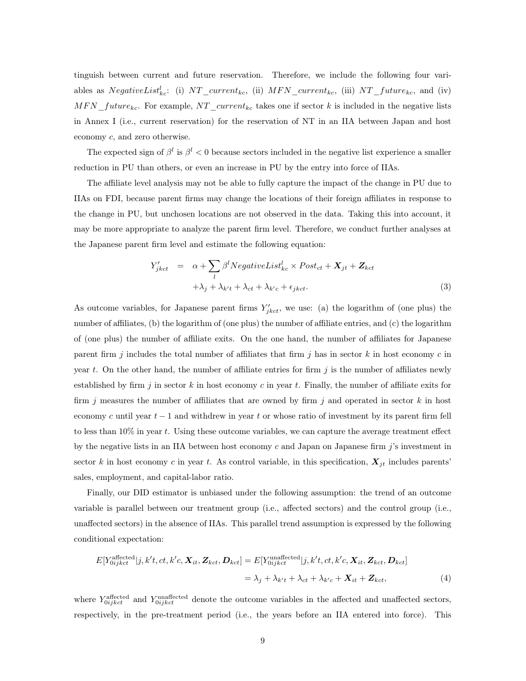tinguish between current and future reservation. Therefore, we include the following four variables as  $NegativeList_{kc}^l$ : (i)  $NT\_current_{kc}$ , (ii)  $MFN\_current_{kc}$ , (iii)  $NT\_future_{kc}$ , and (iv)  $MFN\_future_{kc}$ . For example,  $NT\_current_{kc}$  takes one if sector *k* is included in the negative lists in Annex I (i.e., current reservation) for the reservation of NT in an IIA between Japan and host economy *c*, and zero otherwise.

The expected sign of  $\beta^l$  is  $\beta^l$  < 0 because sectors included in the negative list experience a smaller reduction in PU than others, or even an increase in PU by the entry into force of IIAs.

The affiliate level analysis may not be able to fully capture the impact of the change in PU due to IIAs on FDI, because parent firms may change the locations of their foreign affiliates in response to the change in PU, but unchosen locations are not observed in the data. Taking this into account, it may be more appropriate to analyze the parent firm level. Therefore, we conduct further analyses at the Japanese parent firm level and estimate the following equation:

$$
Y'_{jkt} = \alpha + \sum_{l} \beta^{l} NegativeList_{kc}^{l} \times Post_{ct} + X_{jt} + Z_{kct}
$$
  
 
$$
+ \lambda_{j} + \lambda_{k't} + \lambda_{ct} + \lambda_{k'c} + \epsilon_{jkt}.
$$
 (3)

As outcome variables, for Japanese parent firms  $Y'_{jkct}$ , we use: (a) the logarithm of (one plus) the number of affiliates, (b) the logarithm of (one plus) the number of affiliate entries, and (c) the logarithm of (one plus) the number of affiliate exits. On the one hand, the number of affiliates for Japanese parent firm *j* includes the total number of affiliates that firm *j* has in sector *k* in host economy *c* in year *t*. On the other hand, the number of affiliate entries for firm *j* is the number of affiliates newly established by firm *j* in sector *k* in host economy *c* in year *t*. Finally, the number of affiliate exits for firm *j* measures the number of affiliates that are owned by firm *j* and operated in sector *k* in host economy *c* until year *t −* 1 and withdrew in year *t* or whose ratio of investment by its parent firm fell to less than 10% in year *t*. Using these outcome variables, we can capture the average treatment effect by the negative lists in an IIA between host economy *c* and Japan on Japanese firm *j*'s investment in sector *k* in host economy *c* in year *t*. As control variable, in this specification,  $X_{jt}$  includes parents' sales, employment, and capital-labor ratio.

Finally, our DID estimator is unbiased under the following assumption: the trend of an outcome variable is parallel between our treatment group (i.e., affected sectors) and the control group (i.e., unaffected sectors) in the absence of IIAs. This parallel trend assumption is expressed by the following conditional expectation:

$$
E[Y^{\text{affected}}_{0ijkct}|j,k't,ct,k'c,\mathbf{X}_{it},\mathbf{Z}_{kct},\mathbf{D}_{kct}] = E[Y^{\text{unaffected}}_{0ijkct}|j,k't,ct,k'c,\mathbf{X}_{it},\mathbf{Z}_{kct},\mathbf{D}_{kct}]
$$
  

$$
= \lambda_j + \lambda_{k't} + \lambda_{ct} + \lambda_{k'c} + \mathbf{X}_{it} + \mathbf{Z}_{kct},
$$
 (4)

where  $Y_{0ijkct}^{\text{affected}}$  and  $Y_{0ijkct}^{\text{unaffected}}$  denote the outcome variables in the affected and unaffected sectors, respectively, in the pre-treatment period (i.e., the years before an IIA entered into force). This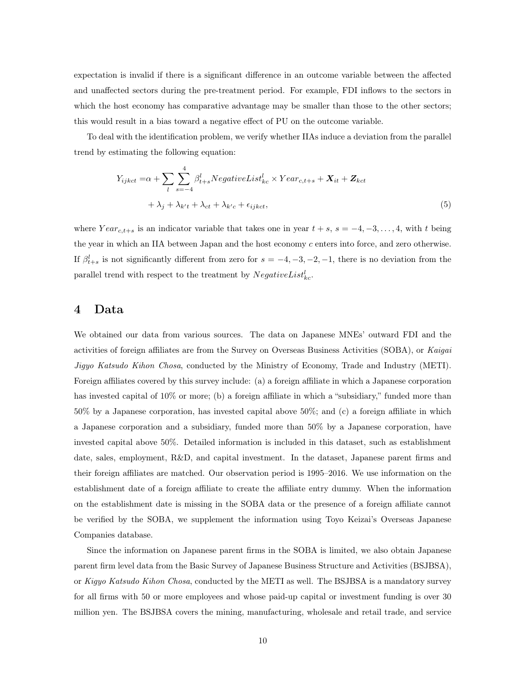expectation is invalid if there is a significant difference in an outcome variable between the affected and unaffected sectors during the pre-treatment period. For example, FDI inflows to the sectors in which the host economy has comparative advantage may be smaller than those to the other sectors; this would result in a bias toward a negative effect of PU on the outcome variable.

To deal with the identification problem, we verify whether IIAs induce a deviation from the parallel trend by estimating the following equation:

$$
Y_{ijkct} = \alpha + \sum_{l} \sum_{s=-4}^{4} \beta_{t+s}^{l} NegativeList_{kc}^{l} \times Year_{c,t+s} + \mathbf{X}_{it} + \mathbf{Z}_{kct}
$$

$$
+ \lambda_{j} + \lambda_{k't} + \lambda_{ct} + \lambda_{k'c} + \epsilon_{ijkct}, \tag{5}
$$

where  $Year_{c,t+s}$  is an indicator variable that takes one in year  $t + s$ ,  $s = -4, -3, \ldots, 4$ , with  $t$  being the year in which an IIA between Japan and the host economy *c* enters into force, and zero otherwise. If  $\beta_{t+s}^l$  is not significantly different from zero for  $s = -4, -3, -2, -1$ , there is no deviation from the parallel trend with respect to the treatment by  $NegativeList_{kc}^l$ .

## 4 Data

We obtained our data from various sources. The data on Japanese MNEs' outward FDI and the activities of foreign affiliates are from the Survey on Overseas Business Activities (SOBA), or *Kaigai Jigyo Katsudo Kihon Chosa*, conducted by the Ministry of Economy, Trade and Industry (METI). Foreign affiliates covered by this survey include: (a) a foreign affiliate in which a Japanese corporation has invested capital of 10% or more; (b) a foreign affiliate in which a "subsidiary," funded more than 50% by a Japanese corporation, has invested capital above 50%; and (c) a foreign affiliate in which a Japanese corporation and a subsidiary, funded more than 50% by a Japanese corporation, have invested capital above 50%. Detailed information is included in this dataset, such as establishment date, sales, employment, R&D, and capital investment. In the dataset, Japanese parent firms and their foreign affiliates are matched. Our observation period is 1995–2016. We use information on the establishment date of a foreign affiliate to create the affiliate entry dummy. When the information on the establishment date is missing in the SOBA data or the presence of a foreign affiliate cannot be verified by the SOBA, we supplement the information using Toyo Keizai's Overseas Japanese Companies database.

Since the information on Japanese parent firms in the SOBA is limited, we also obtain Japanese parent firm level data from the Basic Survey of Japanese Business Structure and Activities (BSJBSA), or *Kigyo Katsudo Kihon Chosa*, conducted by the METI as well. The BSJBSA is a mandatory survey for all firms with 50 or more employees and whose paid-up capital or investment funding is over 30 million yen. The BSJBSA covers the mining, manufacturing, wholesale and retail trade, and service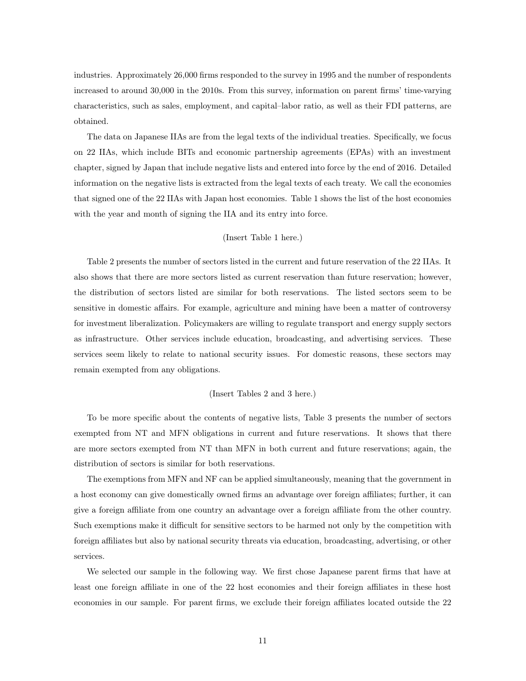industries. Approximately 26,000 firms responded to the survey in 1995 and the number of respondents increased to around 30,000 in the 2010s. From this survey, information on parent firms' time-varying characteristics, such as sales, employment, and capital–labor ratio, as well as their FDI patterns, are obtained.

The data on Japanese IIAs are from the legal texts of the individual treaties. Specifically, we focus on 22 IIAs, which include BITs and economic partnership agreements (EPAs) with an investment chapter, signed by Japan that include negative lists and entered into force by the end of 2016. Detailed information on the negative lists is extracted from the legal texts of each treaty. We call the economies that signed one of the 22 IIAs with Japan host economies. Table 1 shows the list of the host economies with the year and month of signing the IIA and its entry into force.

#### (Insert Table 1 here.)

Table 2 presents the number of sectors listed in the current and future reservation of the 22 IIAs. It also shows that there are more sectors listed as current reservation than future reservation; however, the distribution of sectors listed are similar for both reservations. The listed sectors seem to be sensitive in domestic affairs. For example, agriculture and mining have been a matter of controversy for investment liberalization. Policymakers are willing to regulate transport and energy supply sectors as infrastructure. Other services include education, broadcasting, and advertising services. These services seem likely to relate to national security issues. For domestic reasons, these sectors may remain exempted from any obligations.

#### (Insert Tables 2 and 3 here.)

To be more specific about the contents of negative lists, Table 3 presents the number of sectors exempted from NT and MFN obligations in current and future reservations. It shows that there are more sectors exempted from NT than MFN in both current and future reservations; again, the distribution of sectors is similar for both reservations.

The exemptions from MFN and NF can be applied simultaneously, meaning that the government in a host economy can give domestically owned firms an advantage over foreign affiliates; further, it can give a foreign affiliate from one country an advantage over a foreign affiliate from the other country. Such exemptions make it difficult for sensitive sectors to be harmed not only by the competition with foreign affiliates but also by national security threats via education, broadcasting, advertising, or other services.

We selected our sample in the following way. We first chose Japanese parent firms that have at least one foreign affiliate in one of the 22 host economies and their foreign affiliates in these host economies in our sample. For parent firms, we exclude their foreign affiliates located outside the 22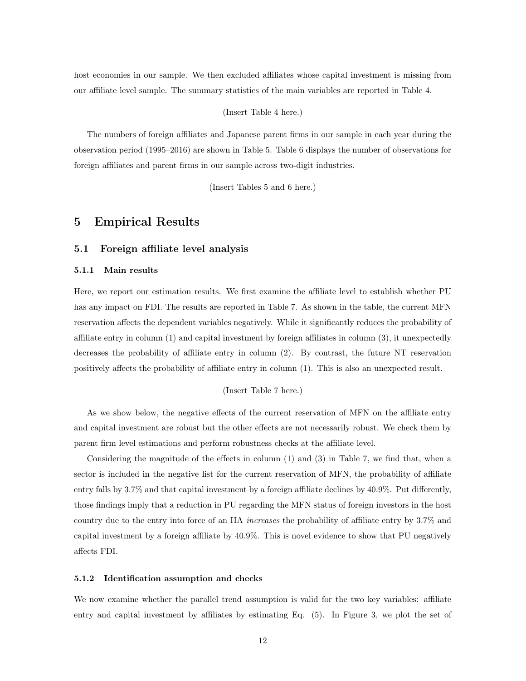host economies in our sample. We then excluded affiliates whose capital investment is missing from our affiliate level sample. The summary statistics of the main variables are reported in Table 4.

#### (Insert Table 4 here.)

The numbers of foreign affiliates and Japanese parent firms in our sample in each year during the observation period (1995–2016) are shown in Table 5. Table 6 displays the number of observations for foreign affiliates and parent firms in our sample across two-digit industries.

(Insert Tables 5 and 6 here.)

## 5 Empirical Results

## 5.1 Foreign affiliate level analysis

#### 5.1.1 Main results

Here, we report our estimation results. We first examine the affiliate level to establish whether PU has any impact on FDI. The results are reported in Table 7. As shown in the table, the current MFN reservation affects the dependent variables negatively. While it significantly reduces the probability of affiliate entry in column (1) and capital investment by foreign affiliates in column (3), it unexpectedly decreases the probability of affiliate entry in column (2). By contrast, the future NT reservation positively affects the probability of affiliate entry in column (1). This is also an unexpected result.

#### (Insert Table 7 here.)

As we show below, the negative effects of the current reservation of MFN on the affiliate entry and capital investment are robust but the other effects are not necessarily robust. We check them by parent firm level estimations and perform robustness checks at the affiliate level.

Considering the magnitude of the effects in column (1) and (3) in Table 7, we find that, when a sector is included in the negative list for the current reservation of MFN, the probability of affiliate entry falls by 3.7% and that capital investment by a foreign affiliate declines by 40.9%. Put differently, those findings imply that a reduction in PU regarding the MFN status of foreign investors in the host country due to the entry into force of an IIA *increases* the probability of affiliate entry by 3.7% and capital investment by a foreign affiliate by 40.9%. This is novel evidence to show that PU negatively affects FDI.

#### 5.1.2 Identification assumption and checks

We now examine whether the parallel trend assumption is valid for the two key variables: affiliate entry and capital investment by affiliates by estimating Eq. (5). In Figure 3, we plot the set of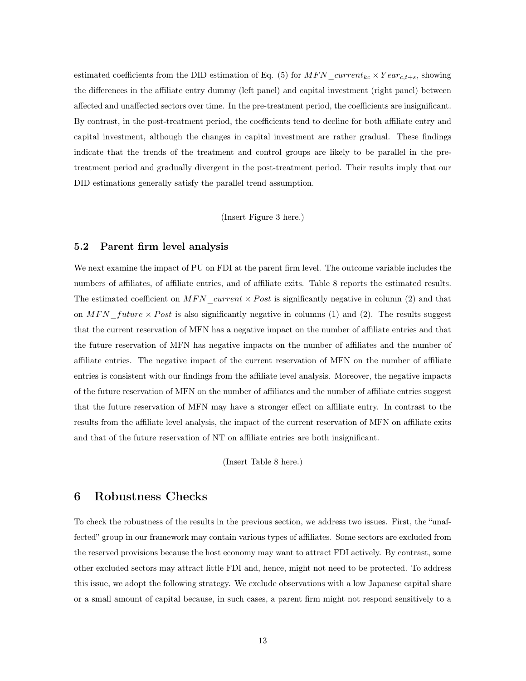estimated coefficients from the DID estimation of Eq. (5) for  $MFN\_current_{kc} \times Year_{c,t+s}$ , showing the differences in the affiliate entry dummy (left panel) and capital investment (right panel) between affected and unaffected sectors over time. In the pre-treatment period, the coefficients are insignificant. By contrast, in the post-treatment period, the coefficients tend to decline for both affiliate entry and capital investment, although the changes in capital investment are rather gradual. These findings indicate that the trends of the treatment and control groups are likely to be parallel in the pretreatment period and gradually divergent in the post-treatment period. Their results imply that our DID estimations generally satisfy the parallel trend assumption.

(Insert Figure 3 here.)

## 5.2 Parent firm level analysis

We next examine the impact of PU on FDI at the parent firm level. The outcome variable includes the numbers of affiliates, of affiliate entries, and of affiliate exits. Table 8 reports the estimated results. The estimated coefficient on *MFN* current  $\times$  *Post* is significantly negative in column (2) and that on *MFN*  $future \times Post$  is also significantly negative in columns (1) and (2). The results suggest that the current reservation of MFN has a negative impact on the number of affiliate entries and that the future reservation of MFN has negative impacts on the number of affiliates and the number of affiliate entries. The negative impact of the current reservation of MFN on the number of affiliate entries is consistent with our findings from the affiliate level analysis. Moreover, the negative impacts of the future reservation of MFN on the number of affiliates and the number of affiliate entries suggest that the future reservation of MFN may have a stronger effect on affiliate entry. In contrast to the results from the affiliate level analysis, the impact of the current reservation of MFN on affiliate exits and that of the future reservation of NT on affiliate entries are both insignificant.

(Insert Table 8 here.)

## 6 Robustness Checks

To check the robustness of the results in the previous section, we address two issues. First, the "unaffected" group in our framework may contain various types of affiliates. Some sectors are excluded from the reserved provisions because the host economy may want to attract FDI actively. By contrast, some other excluded sectors may attract little FDI and, hence, might not need to be protected. To address this issue, we adopt the following strategy. We exclude observations with a low Japanese capital share or a small amount of capital because, in such cases, a parent firm might not respond sensitively to a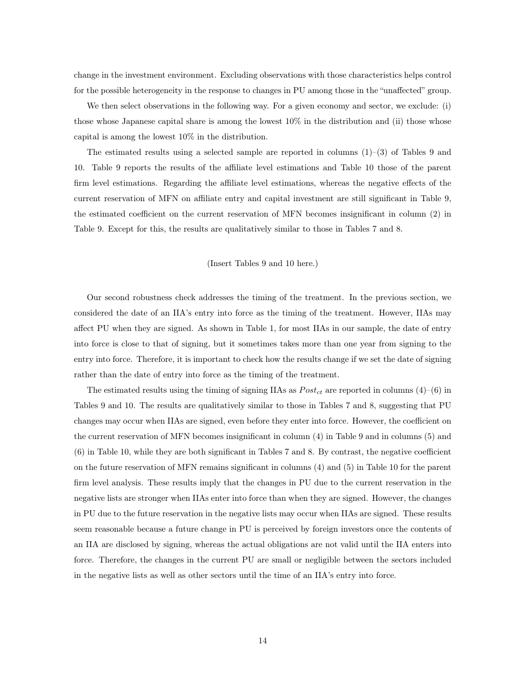change in the investment environment. Excluding observations with those characteristics helps control for the possible heterogeneity in the response to changes in PU among those in the "unaffected" group.

We then select observations in the following way. For a given economy and sector, we exclude: (i) those whose Japanese capital share is among the lowest 10% in the distribution and (ii) those whose capital is among the lowest 10% in the distribution.

The estimated results using a selected sample are reported in columns  $(1)$ – $(3)$  of Tables 9 and 10. Table 9 reports the results of the affiliate level estimations and Table 10 those of the parent firm level estimations. Regarding the affiliate level estimations, whereas the negative effects of the current reservation of MFN on affiliate entry and capital investment are still significant in Table 9, the estimated coefficient on the current reservation of MFN becomes insignificant in column (2) in Table 9. Except for this, the results are qualitatively similar to those in Tables 7 and 8.

#### (Insert Tables 9 and 10 here.)

Our second robustness check addresses the timing of the treatment. In the previous section, we considered the date of an IIA's entry into force as the timing of the treatment. However, IIAs may affect PU when they are signed. As shown in Table 1, for most IIAs in our sample, the date of entry into force is close to that of signing, but it sometimes takes more than one year from signing to the entry into force. Therefore, it is important to check how the results change if we set the date of signing rather than the date of entry into force as the timing of the treatment.

The estimated results using the timing of signing IIAs as  $Post_{ct}$  are reported in columns  $(4)$ – $(6)$  in Tables 9 and 10. The results are qualitatively similar to those in Tables 7 and 8, suggesting that PU changes may occur when IIAs are signed, even before they enter into force. However, the coefficient on the current reservation of MFN becomes insignificant in column (4) in Table 9 and in columns (5) and (6) in Table 10, while they are both significant in Tables 7 and 8. By contrast, the negative coefficient on the future reservation of MFN remains significant in columns (4) and (5) in Table 10 for the parent firm level analysis. These results imply that the changes in PU due to the current reservation in the negative lists are stronger when IIAs enter into force than when they are signed. However, the changes in PU due to the future reservation in the negative lists may occur when IIAs are signed. These results seem reasonable because a future change in PU is perceived by foreign investors once the contents of an IIA are disclosed by signing, whereas the actual obligations are not valid until the IIA enters into force. Therefore, the changes in the current PU are small or negligible between the sectors included in the negative lists as well as other sectors until the time of an IIA's entry into force.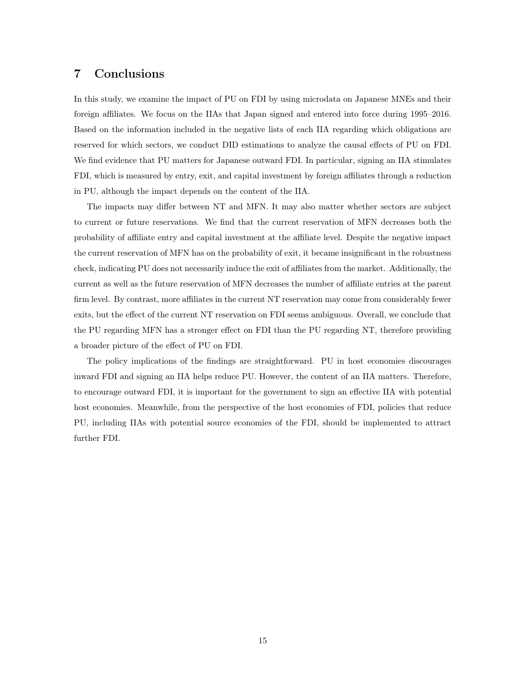## 7 Conclusions

In this study, we examine the impact of PU on FDI by using microdata on Japanese MNEs and their foreign affiliates. We focus on the IIAs that Japan signed and entered into force during 1995–2016. Based on the information included in the negative lists of each IIA regarding which obligations are reserved for which sectors, we conduct DID estimations to analyze the causal effects of PU on FDI. We find evidence that PU matters for Japanese outward FDI. In particular, signing an IIA stimulates FDI, which is measured by entry, exit, and capital investment by foreign affiliates through a reduction in PU, although the impact depends on the content of the IIA.

The impacts may differ between NT and MFN. It may also matter whether sectors are subject to current or future reservations. We find that the current reservation of MFN decreases both the probability of affiliate entry and capital investment at the affiliate level. Despite the negative impact the current reservation of MFN has on the probability of exit, it became insignificant in the robustness check, indicating PU does not necessarily induce the exit of affiliates from the market. Additionally, the current as well as the future reservation of MFN decreases the number of affiliate entries at the parent firm level. By contrast, more affiliates in the current NT reservation may come from considerably fewer exits, but the effect of the current NT reservation on FDI seems ambiguous. Overall, we conclude that the PU regarding MFN has a stronger effect on FDI than the PU regarding NT, therefore providing a broader picture of the effect of PU on FDI.

The policy implications of the findings are straightforward. PU in host economies discourages inward FDI and signing an IIA helps reduce PU. However, the content of an IIA matters. Therefore, to encourage outward FDI, it is important for the government to sign an effective IIA with potential host economies. Meanwhile, from the perspective of the host economies of FDI, policies that reduce PU, including IIAs with potential source economies of the FDI, should be implemented to attract further FDI.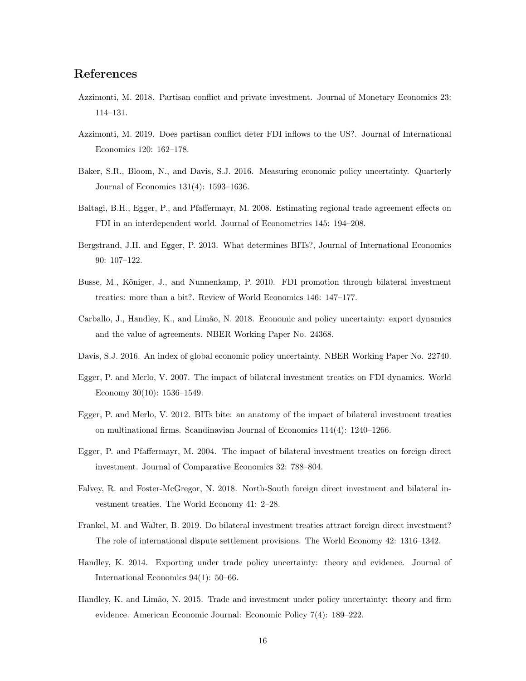## References

- Azzimonti, M. 2018. Partisan conflict and private investment. Journal of Monetary Economics 23: 114–131.
- Azzimonti, M. 2019. Does partisan conflict deter FDI inflows to the US?. Journal of International Economics 120: 162–178.
- Baker, S.R., Bloom, N., and Davis, S.J. 2016. Measuring economic policy uncertainty. Quarterly Journal of Economics 131(4): 1593–1636.
- Baltagi, B.H., Egger, P., and Pfaffermayr, M. 2008. Estimating regional trade agreement effects on FDI in an interdependent world. Journal of Econometrics 145: 194–208.
- Bergstrand, J.H. and Egger, P. 2013. What determines BITs?, Journal of International Economics 90: 107–122.
- Busse, M., Königer, J., and Nunnenkamp, P. 2010. FDI promotion through bilateral investment treaties: more than a bit?. Review of World Economics 146: 147–177.
- Carballo, J., Handley, K., and Limão, N. 2018. Economic and policy uncertainty: export dynamics and the value of agreements. NBER Working Paper No. 24368.
- Davis, S.J. 2016. An index of global economic policy uncertainty. NBER Working Paper No. 22740.
- Egger, P. and Merlo, V. 2007. The impact of bilateral investment treaties on FDI dynamics. World Economy 30(10): 1536–1549.
- Egger, P. and Merlo, V. 2012. BITs bite: an anatomy of the impact of bilateral investment treaties on multinational firms. Scandinavian Journal of Economics 114(4): 1240–1266.
- Egger, P. and Pfaffermayr, M. 2004. The impact of bilateral investment treaties on foreign direct investment. Journal of Comparative Economics 32: 788–804.
- Falvey, R. and Foster-McGregor, N. 2018. North-South foreign direct investment and bilateral investment treaties. The World Economy 41: 2–28.
- Frankel, M. and Walter, B. 2019. Do bilateral investment treaties attract foreign direct investment? The role of international dispute settlement provisions. The World Economy 42: 1316–1342.
- Handley, K. 2014. Exporting under trade policy uncertainty: theory and evidence. Journal of International Economics 94(1): 50–66.
- Handley, K. and Limão, N. 2015. Trade and investment under policy uncertainty: theory and firm evidence. American Economic Journal: Economic Policy 7(4): 189–222.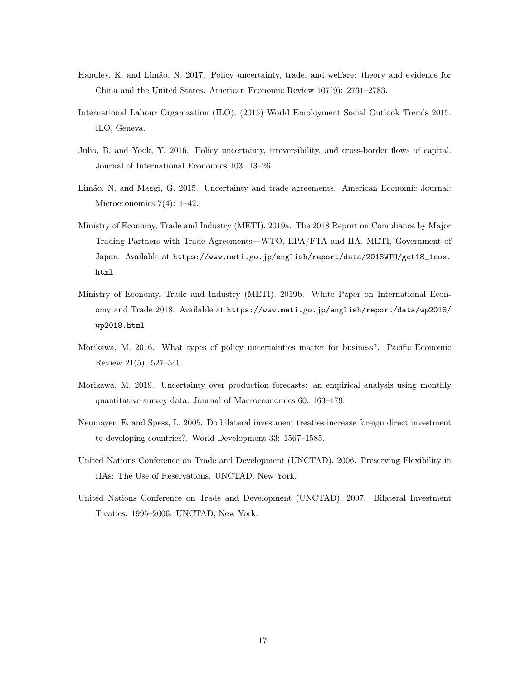- Handley, K. and Limão, N. 2017. Policy uncertainty, trade, and welfare: theory and evidence for China and the United States. American Economic Review 107(9): 2731–2783.
- International Labour Organization (ILO). (2015) World Employment Social Outlook Trends 2015. ILO, Geneva.
- Julio, B. and Yook, Y. 2016. Policy uncertainty, irreversibility, and cross-border flows of capital. Journal of International Economics 103: 13–26.
- Limão, N. and Maggi, G. 2015. Uncertainty and trade agreements. American Economic Journal: Microeconomics 7(4): 1–42.
- Ministry of Economy, Trade and Industry (METI). 2019a. The 2018 Report on Compliance by Major Trading Partners with Trade Agreements—WTO, EPA/FTA and IIA. METI, Government of Japan. Available at https://www.meti.go.jp/english/report/data/2018WTO/gct18\_1coe. html
- Ministry of Economy, Trade and Industry (METI). 2019b. White Paper on International Economy and Trade 2018. Available at https://www.meti.go.jp/english/report/data/wp2018/ wp2018.html
- Morikawa, M. 2016. What types of policy uncertainties matter for business?. Pacific Economic Review 21(5): 527–540.
- Morikawa, M. 2019. Uncertainty over production forecasts: an empirical analysis using monthly quantitative survey data. Journal of Macroeconomics 60: 163–179.
- Neumayer, E. and Spess, L. 2005. Do bilateral investment treaties increase foreign direct investment to developing countries?. World Development 33: 1567–1585.
- United Nations Conference on Trade and Development (UNCTAD). 2006. Preserving Flexibility in IIAs: The Use of Reservations. UNCTAD, New York.
- United Nations Conference on Trade and Development (UNCTAD). 2007. Bilateral Investment Treaties: 1995–2006. UNCTAD, New York.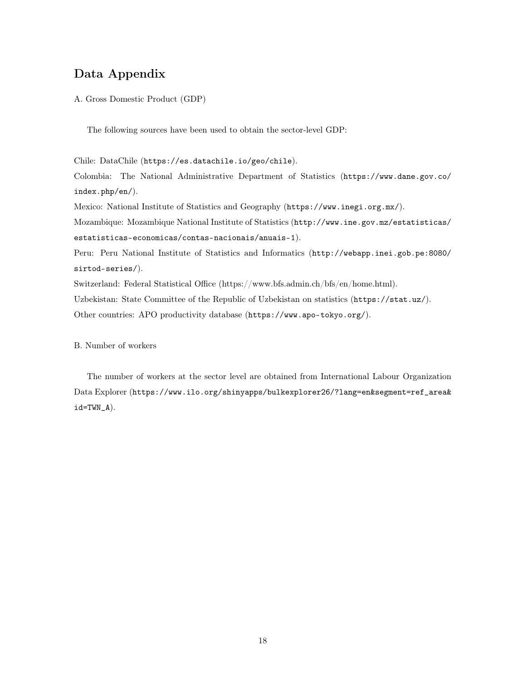## Data Appendix

A. Gross Domestic Product (GDP)

The following sources have been used to obtain the sector-level GDP:

Chile: DataChile (https://es.datachile.io/geo/chile).

Colombia: The National Administrative Department of Statistics (https://www.dane.gov.co/ index.php/en/).

Mexico: National Institute of Statistics and Geography (https://www.inegi.org.mx/).

Mozambique: Mozambique National Institute of Statistics (http://www.ine.gov.mz/estatisticas/ estatisticas-economicas/contas-nacionais/anuais-1).

Peru: Peru National Institute of Statistics and Informatics (http://webapp.inei.gob.pe:8080/ sirtod-series/).

Switzerland: Federal Statistical Office (https://www.bfs.admin.ch/bfs/en/home.html).

Uzbekistan: State Committee of the Republic of Uzbekistan on statistics (https://stat.uz/).

Other countries: APO productivity database (https://www.apo-tokyo.org/).

B. Number of workers

The number of workers at the sector level are obtained from International Labour Organization Data Explorer (https://www.ilo.org/shinyapps/bulkexplorer26/?lang=en&segment=ref\_area& id=TWN\_A).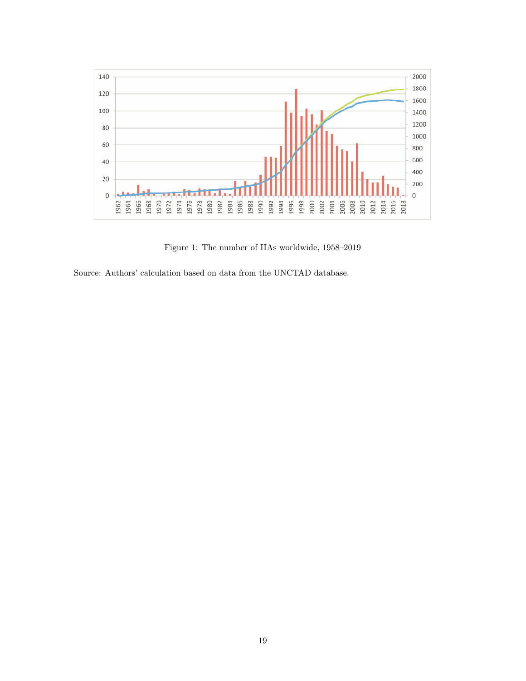

Figure 1: The number of IIAs worldwide, 1958–2019

Source: Authors' calculation based on data from the UNCTAD database.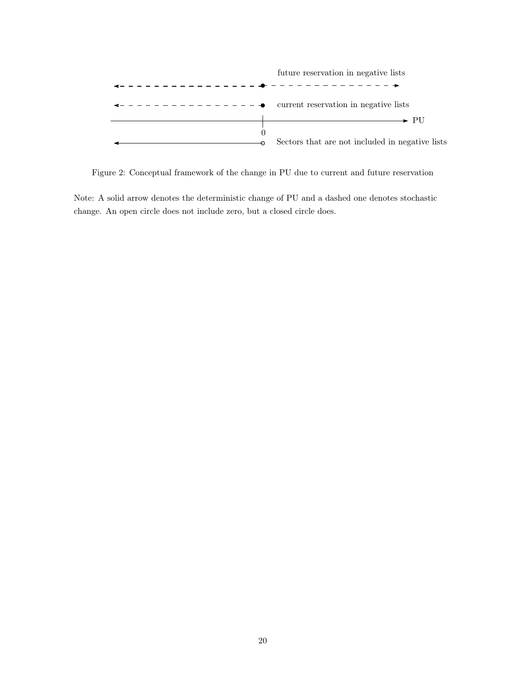

Figure 2: Conceptual framework of the change in PU due to current and future reservation

Note: A solid arrow denotes the deterministic change of PU and a dashed one denotes stochastic change. An open circle does not include zero, but a closed circle does.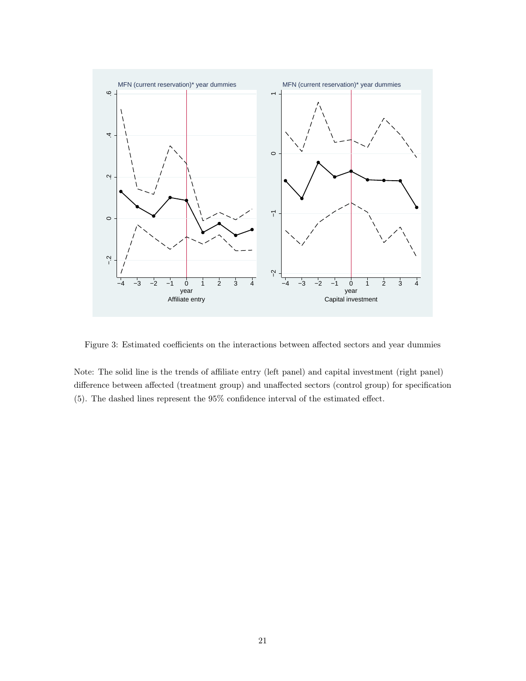

Figure 3: Estimated coefficients on the interactions between affected sectors and year dummies

Note: The solid line is the trends of affiliate entry (left panel) and capital investment (right panel) difference between affected (treatment group) and unaffected sectors (control group) for specification (5). The dashed lines represent the 95% confidence interval of the estimated effect.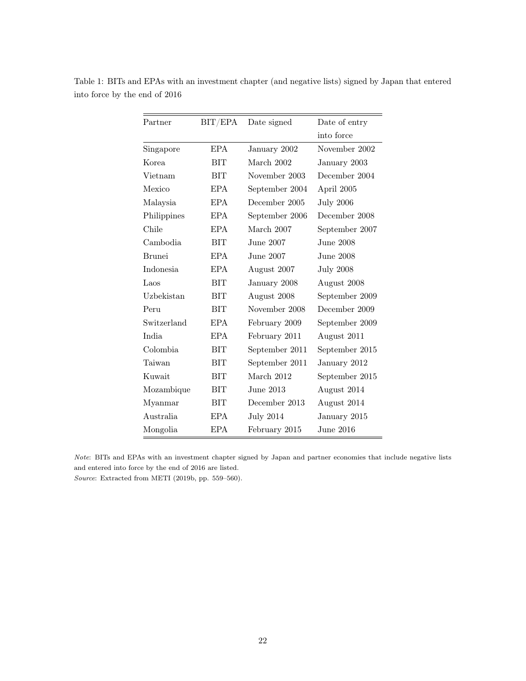| Partner       | BIT/EPA    | Date signed      | Date of entry    |
|---------------|------------|------------------|------------------|
|               |            |                  | into force       |
| Singapore     | <b>EPA</b> | January 2002     | November 2002    |
| <b>Korea</b>  | <b>BIT</b> | March 2002       | January 2003     |
| Vietnam       | <b>BIT</b> | November 2003    | December 2004    |
| Mexico        | <b>EPA</b> | September 2004   | April 2005       |
| Malaysia      | <b>EPA</b> | December 2005    | <b>July 2006</b> |
| Philippines   | <b>EPA</b> | September 2006   | December 2008    |
| Chile         | <b>EPA</b> | March 2007       | September 2007   |
| Cambodia      | <b>BIT</b> | June 2007        | <b>June 2008</b> |
| <b>Brunei</b> | <b>EPA</b> | June 2007        | <b>June 2008</b> |
| Indonesia     | <b>EPA</b> | August 2007      | <b>July 2008</b> |
| Laos          | <b>BIT</b> | January 2008     | August 2008      |
| Uzbekistan    | <b>BIT</b> | August 2008      | September 2009   |
| Peru          | <b>BIT</b> | November 2008    | December 2009    |
| Switzerland   | <b>EPA</b> | February 2009    | September 2009   |
| India         | <b>EPA</b> | February 2011    | August 2011      |
| Colombia      | <b>BIT</b> | September 2011   | September 2015   |
| Taiwan        | <b>BIT</b> | September 2011   | January 2012     |
| Kuwait        | <b>BIT</b> | March 2012       | September 2015   |
| Mozambique    | BIT        | <b>June 2013</b> | August 2014      |
| Myanmar       | <b>BIT</b> | December 2013    | August 2014      |
| Australia     | <b>EPA</b> | <b>July 2014</b> | January 2015     |
| Mongolia      | EPA        | February 2015    | June 2016        |

Table 1: BITs and EPAs with an investment chapter (and negative lists) signed by Japan that entered into force by the end of 2016

*Note*: BITs and EPAs with an investment chapter signed by Japan and partner economies that include negative lists and entered into force by the end of 2016 are listed.

*Source*: Extracted from METI (2019b, pp. 559–560).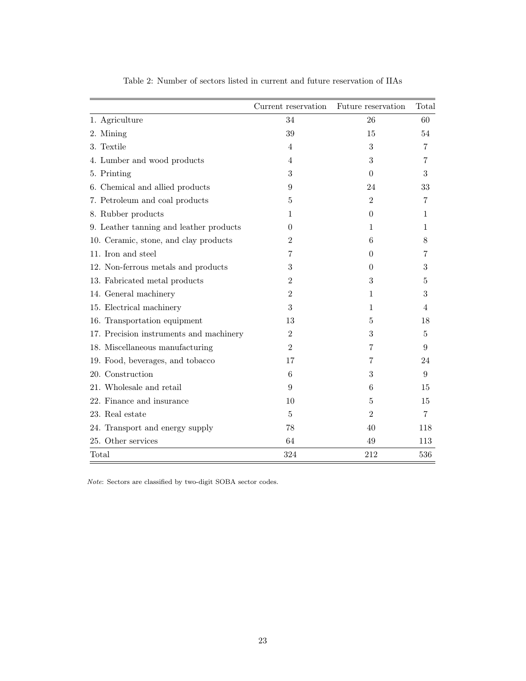|                                         | Current reservation | Future reservation | Total |
|-----------------------------------------|---------------------|--------------------|-------|
| 1. Agriculture                          | 34                  | 26                 | 60    |
| 2. Mining                               | 39                  | 15                 | 54    |
| 3. Textile                              | 4                   | 3                  | 7     |
| 4. Lumber and wood products             | 4                   | 3                  | 7     |
| 5. Printing                             | 3                   | $\Omega$           | 3     |
| 6. Chemical and allied products         | 9                   | 24                 | 33    |
| 7. Petroleum and coal products          | 5                   | $\overline{2}$     | 7     |
| 8. Rubber products                      | 1                   | $\theta$           | 1     |
| 9. Leather tanning and leather products | 0                   | 1                  | 1     |
| 10. Ceramic, stone, and clay products   | $\overline{2}$      | 6                  | 8     |
| 11. Iron and steel                      | 7                   | $\theta$           | 7     |
| 12. Non-ferrous metals and products     | 3                   | $\theta$           | 3     |
| 13. Fabricated metal products           | $\overline{2}$      | 3                  | 5     |
| 14. General machinery                   | $\overline{2}$      | 1                  | 3     |
| 15. Electrical machinery                | 3                   | 1                  | 4     |
| 16. Transportation equipment            | 13                  | 5                  | 18    |
| 17. Precision instruments and machinery | $\overline{2}$      | 3                  | 5     |
| 18. Miscellaneous manufacturing         | $\overline{2}$      | 7                  | 9     |
| 19. Food, beverages, and tobacco        | 17                  | 7                  | 24    |
| 20. Construction                        | 6                   | 3                  | 9     |
| 21. Wholesale and retail                | 9                   | 6                  | 15    |
| 22. Finance and insurance               | 10                  | 5                  | 15    |
| 23. Real estate                         | 5                   | $\overline{2}$     | 7     |
| 24. Transport and energy supply         | 78                  | 40                 | 118   |
| 25. Other services                      | 64                  | 49                 | 113   |
| Total                                   | 324                 | 212                | 536   |

Table 2: Number of sectors listed in current and future reservation of IIAs

*Note*: Sectors are classified by two-digit SOBA sector codes.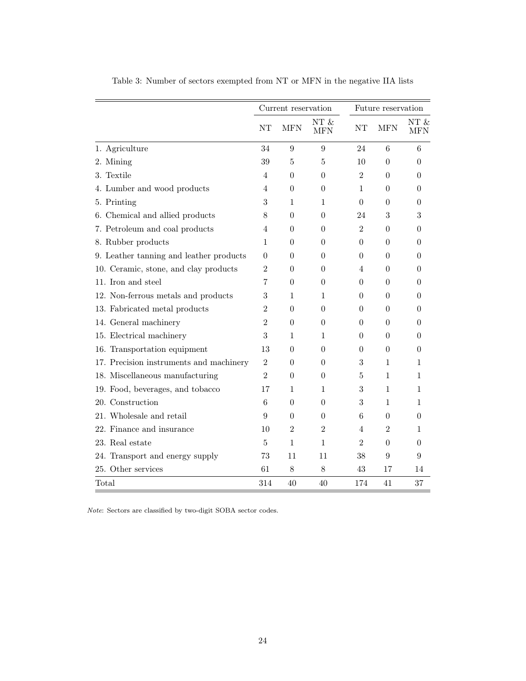|                                         |                | Current reservation |                    |                | Future reservation |                    |
|-----------------------------------------|----------------|---------------------|--------------------|----------------|--------------------|--------------------|
|                                         | NT             | <b>MFN</b>          | NT &<br><b>MFN</b> | NT             | <b>MFN</b>         | NT &<br><b>MFN</b> |
| 1. Agriculture                          | 34             | 9                   | 9                  | 24             | 6                  | 6                  |
| 2. Mining                               | 39             | 5                   | $\overline{5}$     | 10             | $\theta$           | $\overline{0}$     |
| 3. Textile                              | 4              | $\theta$            | $\Omega$           | $\overline{2}$ | $\Omega$           | 0                  |
| 4. Lumber and wood products             | 4              | $\theta$            | $\overline{0}$     | 1              | $\theta$           | 0                  |
| 5. Printing                             | 3              | 1                   | 1                  | $\Omega$       | 0                  | 0                  |
| 6. Chemical and allied products         | 8              | $\Omega$            | $\Omega$           | 24             | 3                  | 3                  |
| 7. Petroleum and coal products          | 4              | $\theta$            | $\Omega$           | $\overline{2}$ | $\Omega$           | 0                  |
| 8. Rubber products                      | 1              | $\theta$            | $\Omega$           | $\Omega$       | 0                  | 0                  |
| 9. Leather tanning and leather products | 0              | 0                   | $\Omega$           | 0              | 0                  | 0                  |
| 10. Ceramic, stone, and clay products   | $\overline{2}$ | $\theta$            | $\Omega$           | 4              | $\Omega$           | 0                  |
| 11. Iron and steel                      | 7              | $\overline{0}$      | $\theta$           | $\overline{0}$ | $\theta$           | 0                  |
| 12. Non-ferrous metals and products     | 3              | 1                   | 1                  | 0              | 0                  | 0                  |
| 13. Fabricated metal products           | $\overline{2}$ | $\Omega$            | $\overline{0}$     | $\theta$       | $\Omega$           | 0                  |
| 14. General machinery                   | $\overline{2}$ | $\theta$            | $\Omega$           | 0              | 0                  | $\theta$           |
| 15. Electrical machinery                | 3              | 1                   | $\mathbf{1}$       | $\Omega$       | $\Omega$           | 0                  |
| 16. Transportation equipment            | 13             | $\theta$            | $\Omega$           | 0              | 0                  | 0                  |
| 17. Precision instruments and machinery | $\overline{2}$ | $\theta$            | $\Omega$           | 3              | 1                  | 1                  |
| 18. Miscellaneous manufacturing         | $\overline{2}$ | 0                   | $\Omega$           | 5              | 1                  | 1                  |
| 19. Food, beverages, and tobacco        | 17             | 1                   | 1                  | 3              | 1                  | 1                  |
| 20. Construction                        | 6              | $\overline{0}$      | $\overline{0}$     | 3              | 1                  | 1                  |
| 21. Wholesale and retail                | 9              | $\theta$            | $\Omega$           | 6              | 0                  | 0                  |
| 22. Finance and insurance               | 10             | $\overline{2}$      | $\overline{2}$     | 4              | $\overline{2}$     | 1                  |
| 23. Real estate                         | 5              | 1                   | 1                  | $\overline{2}$ | $\Omega$           | 0                  |
| 24. Transport and energy supply         | 73             | 11                  | 11                 | 38             | 9                  | 9                  |
| 25. Other services                      | 61             | 8                   | 8                  | 43             | 17                 | 14                 |
| Total                                   | 314            | 40                  | 40                 | 174            | 41                 | 37                 |

Table 3: Number of sectors exempted from NT or MFN in the negative IIA lists

*Note*: Sectors are classified by two-digit SOBA sector codes.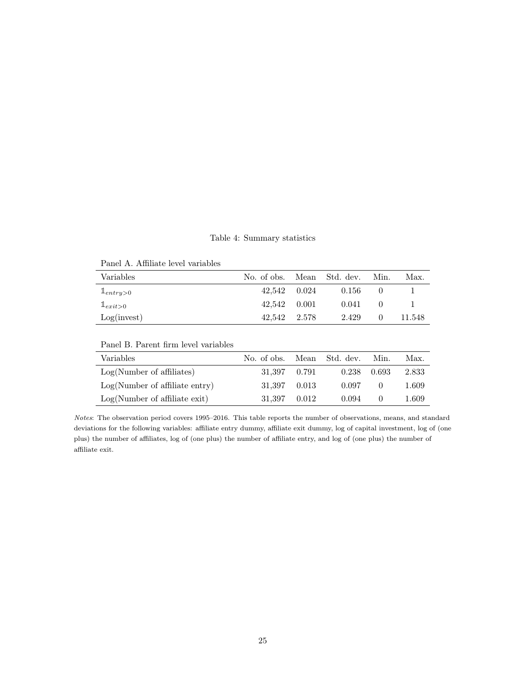## Table 4: Summary statistics

Panel A. Affiliate level variables

| Variables              | No. of obs.  | Mean Std. dev. | Min.     | Max.   |
|------------------------|--------------|----------------|----------|--------|
| $\mathbb{1}_{entry>0}$ | 42.542 0.024 | 0.156          |          |        |
| $\mathbb{1}_{exit>0}$  | 42.542 0.001 | 0.041          |          |        |
| Log(invest)            | 42.542 2.578 | 2.429          | $\theta$ | 11.548 |

| Panel B. Parent firm level variables |                            |       |       |       |
|--------------------------------------|----------------------------|-------|-------|-------|
| Variables                            | No. of obs. Mean Std. dev. |       | Min.  | Max.  |
| Log(Number of affiliates)            | 31.397 0.791               | 0.238 | 0.693 | 2.833 |
| Log(Number of affiliated entry)      | 31.397 0.013               | 0.097 |       | 1.609 |
| Log(Number of affiliated exist)      | 31.397 0.012               | 0.094 |       | 1.609 |

*Notes*: The observation period covers 1995–2016. This table reports the number of observations, means, and standard

deviations for the following variables: affiliate entry dummy, affiliate exit dummy, log of capital investment, log of (one plus) the number of affiliates, log of (one plus) the number of affiliate entry, and log of (one plus) the number of affiliate exit.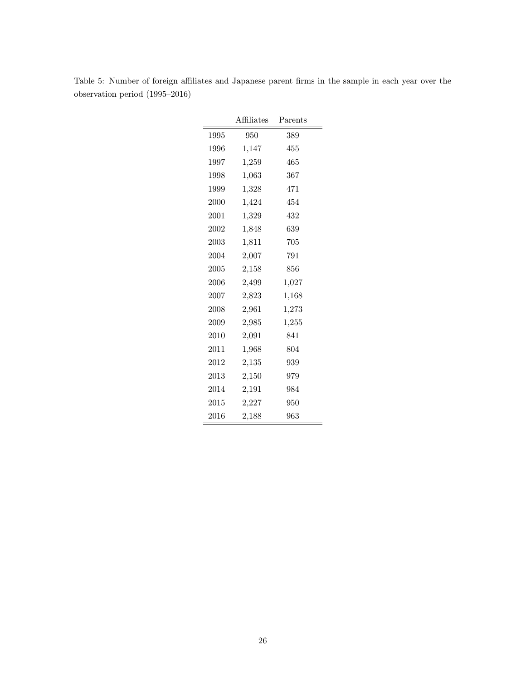|      | Affiliates | Parents |
|------|------------|---------|
| 1995 | 950        | 389     |
| 1996 | 1,147      | 455     |
| 1997 | 1,259      | 465     |
| 1998 | 1,063      | 367     |
| 1999 | 1,328      | 471     |
| 2000 | 1,424      | 454     |
| 2001 | 1,329      | 432     |
| 2002 | 1,848      | 639     |
| 2003 | 1,811      | 705     |
| 2004 | 2,007      | 791     |
| 2005 | 2,158      | 856     |
| 2006 | 2,499      | 1,027   |
| 2007 | 2,823      | 1,168   |
| 2008 | 2,961      | 1,273   |
| 2009 | 2,985      | 1,255   |
| 2010 | 2,091      | 841     |
| 2011 | 1,968      | 804     |
| 2012 | 2,135      | 939     |
| 2013 | 2,150      | 979     |
| 2014 | 2,191      | 984     |
| 2015 | 2,227      | 950     |
| 2016 | 2,188      | 963     |

 $=$ 

Table 5: Number of foreign affiliates and Japanese parent firms in the sample in each year over the observation period (1995–2016)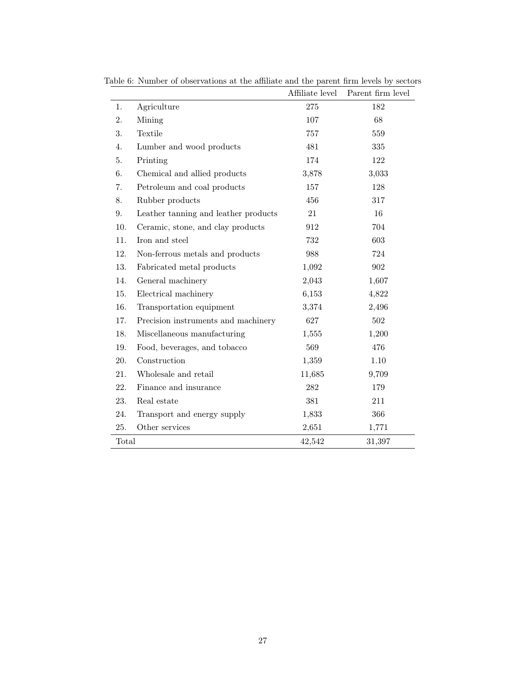|       |                                      | Affiliate level | Parent firm level |
|-------|--------------------------------------|-----------------|-------------------|
| 1.    | Agriculture                          | 275             | 182               |
| 2.    | Mining                               | 107             | 68                |
| 3.    | Textile                              | 757             | 559               |
| 4.    | Lumber and wood products             | 481             | 335               |
| 5.    | Printing                             | 174             | 122               |
| 6.    | Chemical and allied products         | 3,878           | 3,033             |
| 7.    | Petroleum and coal products          | 157             | 128               |
| 8.    | Rubber products                      | 456             | 317               |
| 9.    | Leather tanning and leather products | 21              | 16                |
| 10.   | Ceramic, stone, and clay products    | 912             | 704               |
| 11.   | Iron and steel                       | 732             | 603               |
| 12.   | Non-ferrous metals and products      | 988             | 724               |
| 13.   | Fabricated metal products            | 1,092           | 902               |
| 14.   | General machinery                    | 2,043           | 1,607             |
| 15.   | Electrical machinery                 | 6,153           | 4,822             |
| 16.   | Transportation equipment             | 3,374           | 2,496             |
| 17.   | Precision instruments and machinery  | 627             | 502               |
| 18.   | Miscellaneous manufacturing          | 1,555           | 1,200             |
| 19.   | Food, beverages, and tobacco         | 569             | 476               |
| 20.   | Construction                         | 1,359           | 1.10              |
| 21.   | Wholesale and retail                 | 11,685          | 9,709             |
| 22.   | Finance and insurance                | 282             | 179               |
| 23.   | Real estate                          | 381             | 211               |
| 24.   | Transport and energy supply          | 1,833           | 366               |
| 25.   | Other services                       | 2,651           | 1,771             |
| Total |                                      | 42,542          | 31,397            |

Table 6: Number of observations at the affiliate and the parent firm levels by sectors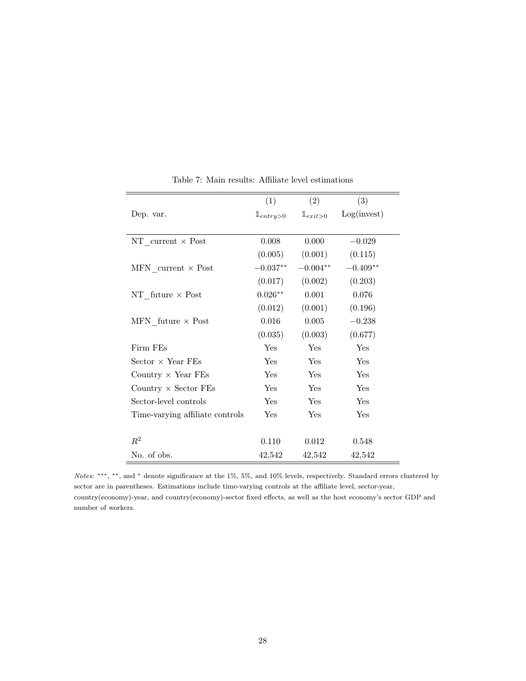|                                    | (1)                    | (2)                   | (3)         |
|------------------------------------|------------------------|-----------------------|-------------|
| Dep. var.                          | $\mathbb{1}_{entry>0}$ | $\mathbb{1}_{exit>0}$ | Log(invest) |
|                                    |                        |                       |             |
| NT current $\times$ Post           | 0.008                  | 0.000                 | $-0.029$    |
|                                    | (0.005)                | (0.001)               | (0.115)     |
| $\text{MFN}$ current $\times$ Post | $-0.037**$             | $-0.004**$            | $-0.409**$  |
|                                    | (0.017)                | (0.002)               | (0.203)     |
| NT future $\times$ Post            | $0.026**$              | 0.001                 | 0.076       |
|                                    | (0.012)                | (0.001)               | (0.196)     |
| MFN future $\times$ Post           | 0.016                  | 0.005                 | $-0.238$    |
|                                    | (0.035)                | (0.003)               | (0.677)     |
| Firm FEs                           | Yes                    | Yes                   | Yes         |
| $Sector \times Year$ FEs           | <b>Yes</b>             | <b>Yes</b>            | Yes         |
| Country $\times$ Year FEs          | Yes                    | Yes                   | Yes         |
| Country $\times$ Sector FEs        | <b>Yes</b>             | Yes                   | Yes         |
| Sector-level controls              | Yes                    | Yes                   | Yes         |
| Time-varying affiliate controls    | Yes                    | Yes                   | Yes         |
|                                    |                        |                       |             |
| $R^2$                              | 0.110                  | 0.012                 | 0.548       |
| No. of obs.                        | 42,542                 | 42,542                | 42,542      |

Table 7: Main results: Affiliate level estimations

*Notes*: \*\*\*, \*\*, and <sup>\*</sup> denote significance at the 1%, 5%, and 10% levels, respectively. Standard errors clustered by sector are in parentheses. Estimations include time-varying controls at the affiliate level, sector-year,

country(economy)-year, and country(economy)-sector fixed effects, as well as the host economy's sector GDP and number of workers.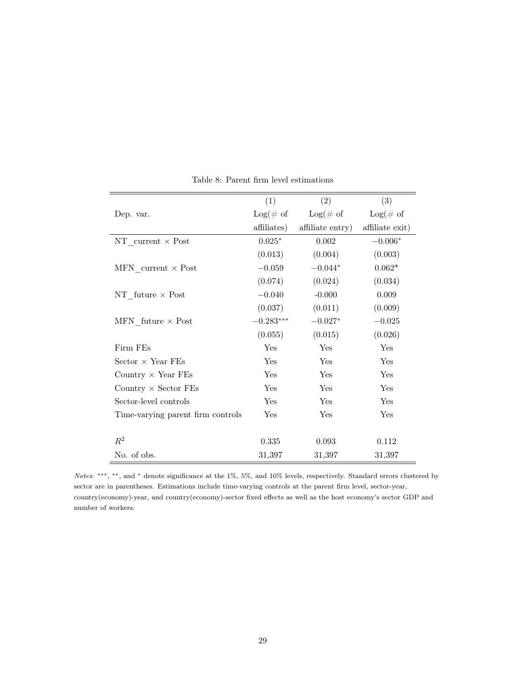|                                    | (1)                 | (2)                 | (3)                 |
|------------------------------------|---------------------|---------------------|---------------------|
| Dep. var.                          | $Log(\text{\# of})$ | $Log(\text{\# of})$ | $Log(\text{\# of})$ |
|                                    | affiliates)         | affiliate entry)    | affiliate exit)     |
| NT current $\times$ Post           | $0.025^{\ast}$      | 0.002               | $-0.006*$           |
|                                    | (0.013)             | (0.004)             | (0.003)             |
| $\text{MFN}$ current $\times$ Post | $-0.059$            | $-0.044*$           | $0.062*$            |
|                                    | (0.074)             | (0.024)             | (0.034)             |
| NT future $\times$ Post            | $-0.040$            | $-0.000$            | 0.009               |
|                                    | (0.037)             | (0.011)             | (0.009)             |
| MFN future $\times$ Post           | $-0.283***$         | $-0.027*$           | $-0.025$            |
|                                    | (0.055)             | (0.015)             | (0.026)             |
| Firm FEs                           | Yes                 | Yes                 | Yes                 |
| $Sector \times Year$ FEs           | Yes                 | Yes                 | Yes                 |
| Country $\times$ Year FEs          | Yes                 | Yes                 | Yes                 |
| Country $\times$ Sector FEs        | Yes                 | Yes                 | Yes                 |
| Sector-level controls              | Yes                 | Yes                 | Yes                 |
| Time-varying parent firm controls  | Yes                 | Yes                 | Yes                 |
|                                    |                     |                     |                     |
| $R^2$                              | 0.335               | 0.093               | 0.112               |
| No. of obs.                        | 31,397              | 31,397              | 31,397              |

Table 8: Parent firm level estimations

*Notes*: \*\*\*, \*\*, and <sup>\*</sup> denote significance at the 1%, 5%, and 10% levels, respectively. Standard errors clustered by sector are in parentheses. Estimations include time-varying controls at the parent firm level, sector-year, country(economy)-year, and country(economy)-sector fixed effects as well as the host economy's sector GDP and number of workers.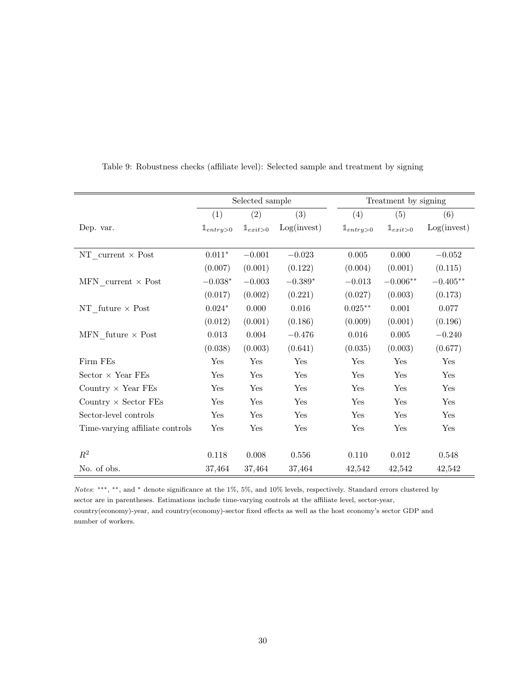|                                 | Selected sample        |                       |             |                        | Treatment by signing  |             |
|---------------------------------|------------------------|-----------------------|-------------|------------------------|-----------------------|-------------|
|                                 | (1)                    | (2)                   | (3)         | (4)                    | (5)                   | (6)         |
| Dep. var.                       | $\mathbb{1}_{entry>0}$ | $\mathbb{1}_{exit>0}$ | Log(invest) | $\mathbb{1}_{entry>0}$ | $\mathbb{1}_{exit>0}$ | Log(invest) |
|                                 |                        |                       |             |                        |                       |             |
| NT current $\times$ Post        | $0.011*$               | $-0.001$              | $-0.023$    | 0.005                  | 0.000                 | $-0.052$    |
|                                 | (0.007)                | (0.001)               | (0.122)     | (0.004)                | (0.001)               | (0.115)     |
| $MFN$ current $\times$ Post     | $-0.038*$              | $-0.003$              | $-0.389*$   | $-0.013$               | $-0.006**$            | $-0.405**$  |
|                                 | (0.017)                | (0.002)               | (0.221)     | (0.027)                | (0.003)               | (0.173)     |
| NT future $\times$ Post         | $0.024*$               | 0.000                 | 0.016       | $0.025***$             | 0.001                 | 0.077       |
|                                 | (0.012)                | (0.001)               | (0.186)     | (0.009)                | (0.001)               | (0.196)     |
| MFN future $\times$ Post        | $\,0.013\,$            | 0.004                 | $-0.476$    | $0.016\,$              | $\,0.005\,$           | $-0.240$    |
|                                 | (0.038)                | (0.003)               | (0.641)     | (0.035)                | (0.003)               | (0.677)     |
| Firm FEs                        | Yes                    | Yes                   | Yes         | Yes                    | Yes                   | Yes         |
| Sector $\times$ Year FEs        | Yes                    | Yes                   | Yes         | Yes                    | Yes                   | Yes         |
| Country $\times$ Year FEs       | Yes                    | Yes                   | Yes         | Yes                    | Yes                   | Yes         |
| Country $\times$ Sector FEs     | Yes                    | Yes                   | Yes         | Yes                    | Yes                   | Yes         |
| Sector-level controls           | Yes                    | Yes                   | Yes         | Yes                    | Yes                   | Yes         |
| Time-varying affiliate controls | Yes                    | Yes                   | Yes         | Yes                    | Yes                   | Yes         |
|                                 |                        |                       |             |                        |                       |             |
| $R^2$                           | 0.118                  | 0.008                 | 0.556       | 0.110                  | 0.012                 | 0.548       |
| No. of obs.                     | 37,464                 | 37,464                | 37,464      | 42,542                 | 42,542                | 42,542      |

Table 9: Robustness checks (affiliate level): Selected sample and treatment by signing

*Notes*: *∗∗∗*, *∗∗*, and *∗* denote significance at the 1%, 5%, and 10% levels, respectively. Standard errors clustered by sector are in parentheses. Estimations include time-varying controls at the affiliate level, sector-year, country(economy)-year, and country(economy)-sector fixed effects as well as the host economy's sector GDP and number of workers.